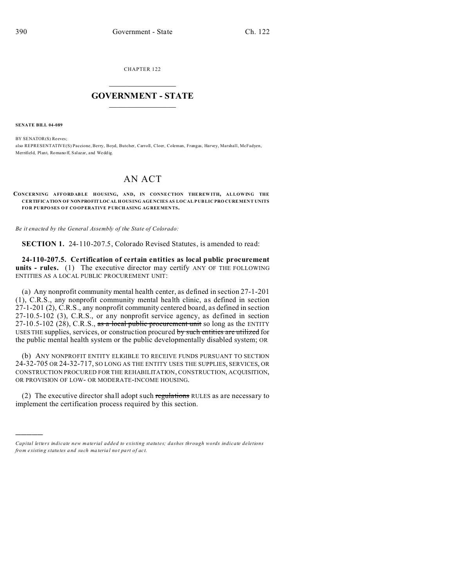CHAPTER 122  $\overline{\phantom{a}}$  , where  $\overline{\phantom{a}}$ 

## **GOVERNMENT - STATE**  $\_$   $\_$

**SENATE BILL 04-089**

)))))

BY SENATOR(S) Reeves: also REPRESENTATIVE(S) Paccione, Berry, Boyd, Butcher, Carroll, Cloer, Coleman, Frangas, Harvey, Marshall, McFadyen, Merrifield, Plant, Romano ff, Salazar, and Wedd ig.

## AN ACT

## **CONCERNING AFFORD AB LE HOUSING, AND, IN CONNE CTION THE REW ITH, ALLOWING THE CERTIFICATION OF NONPROFIT LOC AL HOUS ING AGE NCIES AS LOC AL P UBLIC PRO CUREMEN T UNITS FOR PURPOSES OF COOPERATIVE PURCHASING AGREEMENTS.**

*Be it enacted by the General Assembly of the State of Colorado:*

**SECTION 1.** 24-110-207.5, Colorado Revised Statutes, is amended to read:

**24-110-207.5. Certification of certain entities as local public procurement units - rules.** (1) The executive director may certify ANY OF THE FOLLOWING ENTITIES AS A LOCAL PUBLIC PROCUREMENT UNIT:

(a) Any nonprofit community mental health center, as defined in section 27-1-201 (1), C.R.S., any nonprofit community mental health clinic, as defined in section 27-1-201 (2), C.R.S., any nonprofit community centered board, as defined in section 27-10.5-102 (3), C.R.S., or any nonprofit service agency, as defined in section  $27-10.5-102$  (28), C.R.S., as a local public procurement unit so long as the ENTITY USES THE supplies, services, or construction procured by such entities are utilized for the public mental health system or the public developmentally disabled system; OR

(b) ANY NONPROFIT ENTITY ELIGIBLE TO RECEIVE FUNDS PURSUANT TO SECTION 24-32-705 OR 24-32-717, SO LONG AS THE ENTITY USES THE SUPPLIES, SERVICES, OR CONSTRUCTION PROCURED FOR THE REHABILITATION, CONSTRUCTION, ACQUISITION, OR PROVISION OF LOW- OR MODERATE-INCOME HOUSING.

(2) The executive director shall adopt such regulations RULES as are necessary to implement the certification process required by this section.

*Capital letters indicate new material added to existing statutes; dashes through words indicate deletions from e xistin g statu tes a nd such ma teria l no t pa rt of ac t.*